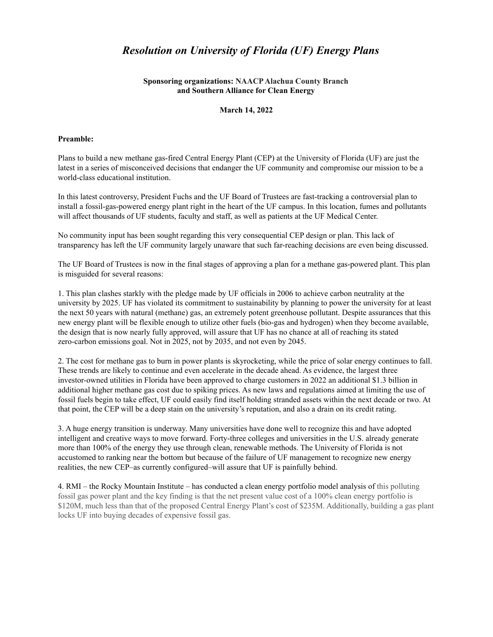# *Resolution on University of Florida (UF) Energy Plans*

## **Sponsoring organizations: NAACPAlachua County Branch and Southern Alliance for Clean Energy**

### **March 14, 2022**

#### **Preamble:**

Plans to build a new methane gas-fired Central Energy Plant (CEP) at the University of Florida (UF) are just the latest in a series of misconceived decisions that endanger the UF community and compromise our mission to be a world-class educational institution.

In this latest controversy, President Fuchs and the UF Board of Trustees are fast-tracking a controversial plan to install a fossil-gas-powered energy plant right in the heart of the UF campus. In this location, fumes and pollutants will affect thousands of UF students, faculty and staff, as well as patients at the UF Medical Center.

No community input has been sought regarding this very consequential CEP design or plan. This lack of transparency has left the UF community largely unaware that such far-reaching decisions are even being discussed.

The UF Board of Trustees is now in the final stages of approving a plan for a methane gas-powered plant. This plan is misguided for several reasons:

1. This plan clashes starkly with the pledge made by UF officials in 2006 to achieve carbon neutrality at the university by 2025. UF has violated its commitment to sustainability by planning to power the university for at least the next 50 years with natural (methane) gas, an extremely potent greenhouse pollutant. Despite assurances that this new energy plant will be flexible enough to utilize other fuels (bio-gas and hydrogen) when they become available, the design that is now nearly fully approved, will assure that UF has no chance at all of reaching its stated zero-carbon emissions goal. Not in 2025, not by 2035, and not even by 2045.

2. The cost for methane gas to burn in power plants is skyrocketing, while the price of solar energy continues to fall. These trends are likely to continue and even accelerate in the decade ahead. As evidence, the largest three investor-owned utilities in Florida have been approved to charge customers in 2022 an additional \$1.3 billion in additional higher methane gas cost due to spiking prices. As new laws and regulations aimed at limiting the use of fossil fuels begin to take effect, UF could easily find itself holding stranded assets within the next decade or two. At that point, the CEP will be a deep stain on the university's reputation, and also a drain on its credit rating.

3. A huge energy transition is underway. Many universities have done well to recognize this and have adopted intelligent and creative ways to move forward. Forty-three colleges and universities in the U.S. already generate more than 100% of the energy they use through clean, renewable methods. The University of Florida is not accustomed to ranking near the bottom but because of the failure of UF management to recognize new energy realities, the new CEP–as currently configured–will assure that UF is painfully behind.

4. RMI – the Rocky Mountain Institute – has conducted a clean energy portfolio model analysis of this polluting fossil gas power plant and the key finding is that the net present value cost of a 100% clean energy portfolio is \$120M, much less than that of the proposed Central Energy Plant's cost of \$235M. Additionally, building a gas plant locks UF into buying decades of expensive fossil gas.